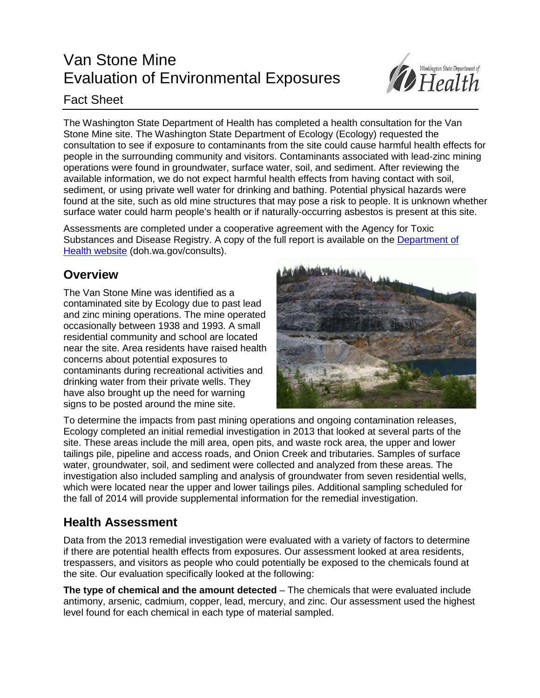# Van Stone Mine Evaluation of Environmental Exposures



### Fact Sheet

The Washington State Department of Health has completed a health consultation for the Van Stone Mine site. The Washington State Department of Ecology (Ecology) requested the consultation to see if exposure to contaminants from the site could cause harmful health effects for people in the surrounding community and visitors. Contaminants associated with lead-zinc mining operations were found in groundwater, surface water, soil, and sediment. After reviewing the available information, we do not expect harmful health effects from having contact with soil, sediment, or using private well water for drinking and bathing. Potential physical hazards were found at the site, such as old mine structures that may pose a risk to people. It is unknown whether surface water could harm people's health or if naturally-occurring asbestos is present at this site.

Assessments are completed under a cooperative agreement with the Agency for Toxic Substances and Disease Registry. A copy of the full report is available on the [Department of](http://www.doh.wa.gov/consults)  [Health website](http://www.doh.wa.gov/consults) (doh.wa.gov/consults).

#### **Overview**

The Van Stone Mine was identified as a contaminated site by Ecology due to past lead and zinc mining operations. The mine operated occasionally between 1938 and 1993. A small residential community and school are located near the site. Area residents have raised health concerns about potential exposures to contaminants during recreational activities and drinking water from their private wells. They have also brought up the need for warning signs to be posted around the mine site.



To determine the impacts from past mining operations and ongoing contamination releases, Ecology completed an initial remedial investigation in 2013 that looked at several parts of the site. These areas include the mill area, open pits, and waste rock area, the upper and lower tailings pile, pipeline and access roads, and Onion Creek and tributaries. Samples of surface water, groundwater, soil, and sediment were collected and analyzed from these areas. The investigation also included sampling and analysis of groundwater from seven residential wells, which were located near the upper and lower tailings piles. Additional sampling scheduled for the fall of 2014 will provide supplemental information for the remedial investigation.

## **Health Assessment**

Data from the 2013 remedial investigation were evaluated with a variety of factors to determine if there are potential health effects from exposures. Our assessment looked at area residents, trespassers, and visitors as people who could potentially be exposed to the chemicals found at the site. Our evaluation specifically looked at the following:

**The type of chemical and the amount detected** – The chemicals that were evaluated include antimony, arsenic, cadmium, copper, lead, mercury, and zinc. Our assessment used the highest level found for each chemical in each type of material sampled.